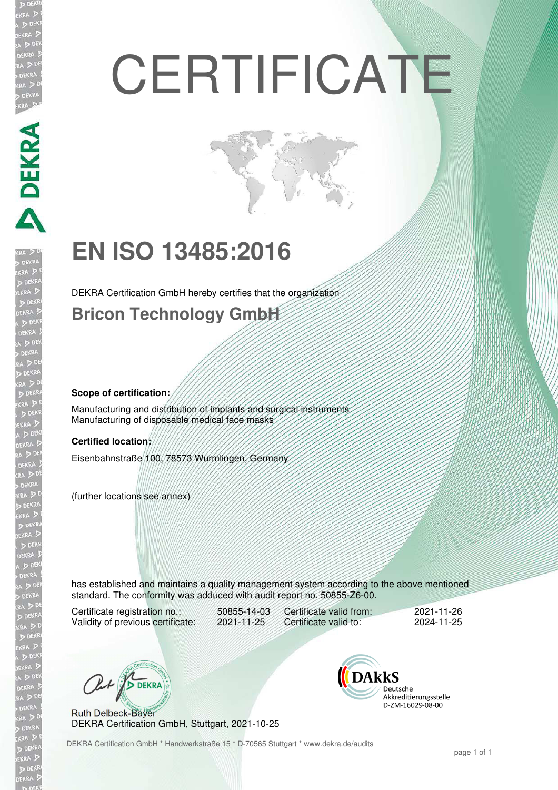# **CERTIFICATE**

# **EN ISO 13485:2016**

DEKRA Certification GmbH hereby certifies that the organization

### **Bricon Technology GmbH**

#### **Scope of certification:**

**DEKRA SER** 

Manufacturing and distribution of implants and surgical instruments Manufacturing of disposable medical face masks

#### **Certified location:**

Eisenbahnstraße 100, 78573 Wurmlingen, Germany

(further locations see annex)

has established and maintains a quality management system according to the above mentioned standard. The conformity was adduced with audit report no. 50855-Z6-00.

Certificate registration no.: 50855-14-03<br>Validity of previous certificate: 2021-11-25 Validity of previous certificate:

Certificate valid from: 2021-11-26<br>Certificate valid to: 2024-11-25 Certificate valid to:

Out / DEKRA

Ruth Delbeck-Bayer DEKRA Certification GmbH, Stuttgart, 2021-10-25



DEKRA Certification GmbH \* Handwerkstraße 15 \* D-70565 Stuttgart \* www.dekra.de/audits